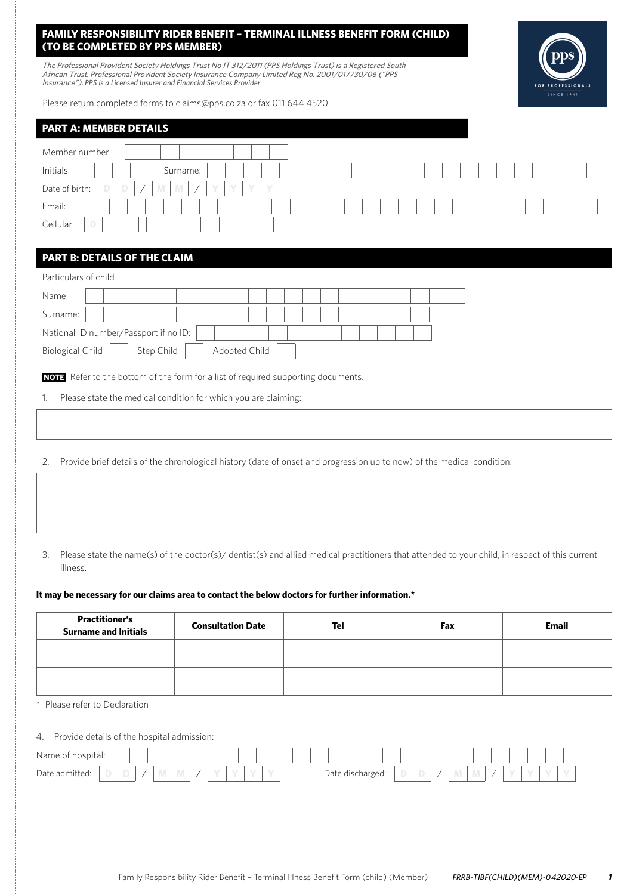# **FAMILY RESPONSIBILITY RIDER BENEFIT – TERMINAL ILLNESS BENEFIT FORM (CHILD) (TO BE COMPLETED BY PPS MEMBER)**

The Professional Provident Society Holdings Trust No IT 312/2011 (PPS Holdings Trust) is a Registered South African Trust. Professional Provident Society Insurance Company Limited Reg No. 2001/017730/06 ("PPS lnsurance"). *PPS is a Licensed Insurer and Financial Services Provider*



| <b>PART A: MEMBER DETAILS</b>                        |  |  |  |  |  |  |  |  |  |  |  |  |  |
|------------------------------------------------------|--|--|--|--|--|--|--|--|--|--|--|--|--|
| Member number:                                       |  |  |  |  |  |  |  |  |  |  |  |  |  |
| Initials:<br>Surname:                                |  |  |  |  |  |  |  |  |  |  |  |  |  |
| Date of birth:<br>D<br>Y<br>D<br>M<br>$\sqrt{}$<br>M |  |  |  |  |  |  |  |  |  |  |  |  |  |
| Email:                                               |  |  |  |  |  |  |  |  |  |  |  |  |  |
| Cellular:<br>$\circ$                                 |  |  |  |  |  |  |  |  |  |  |  |  |  |
|                                                      |  |  |  |  |  |  |  |  |  |  |  |  |  |
| <b>PART B: DETAILS OF THE CLAIM</b>                  |  |  |  |  |  |  |  |  |  |  |  |  |  |
| Particulars of child                                 |  |  |  |  |  |  |  |  |  |  |  |  |  |
| Name:                                                |  |  |  |  |  |  |  |  |  |  |  |  |  |
| Surname:                                             |  |  |  |  |  |  |  |  |  |  |  |  |  |

**NOTE** Refer to the bottom of the form for a list of required supporting documents.

1. Please state the medical condition for which you are claiming:

Biological Child | Step Child | Adopted Child

National ID number/Passport if no ID:

- 2. Provide brief details of the chronological history (date of onset and progression up to now) of the medical condition:
- 3. Please state the name(s) of the doctor(s)/ dentist(s) and allied medical practitioners that attended to your child, in respect of this current illness.

#### **It may be necessary for our claims area to contact the below doctors for further information.\***

| <b>Practitioner's</b><br><b>Surname and Initials</b> | <b>Consultation Date</b> | Tel | Fax | <b>Email</b> |  |  |  |  |
|------------------------------------------------------|--------------------------|-----|-----|--------------|--|--|--|--|
|                                                      |                          |     |     |              |  |  |  |  |
|                                                      |                          |     |     |              |  |  |  |  |
|                                                      |                          |     |     |              |  |  |  |  |
|                                                      |                          |     |     |              |  |  |  |  |

Please refer to Declaration

4. Provide details of the hospital admission:

| $\cdots$<br>⊣Nam∈<br>oital. |   |  |  |  |  |  |       |             |                  |  |  |   |  |  |  |
|-----------------------------|---|--|--|--|--|--|-------|-------------|------------------|--|--|---|--|--|--|
| Date admitted:              | v |  |  |  |  |  | Date. | su urburian | ے ت<br>552.<br>ັ |  |  | . |  |  |  |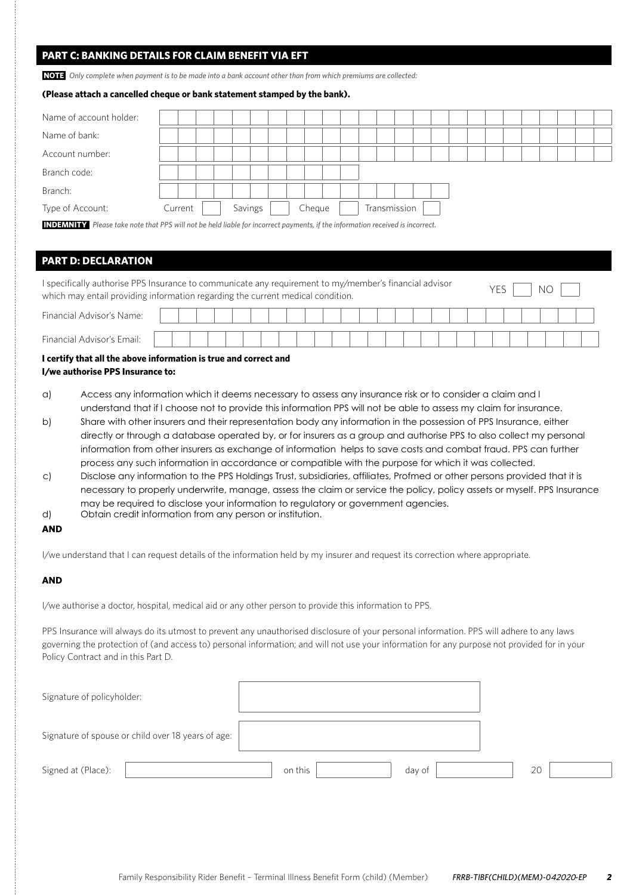# **PART C: BANKING DETAILS FOR CLAIM BENEFIT VIA EFT**

**NOTE** *Only complete when payment is to be made into a bank account other than from which premiums are collected:*

### **(Please attach a cancelled cheque or bank statement stamped by the bank).**

| Name of account holder: |         |  |         |  |        |  |  |              |  |  |  |  |  |  |
|-------------------------|---------|--|---------|--|--------|--|--|--------------|--|--|--|--|--|--|
| Name of bank:           |         |  |         |  |        |  |  |              |  |  |  |  |  |  |
| Account number:         |         |  |         |  |        |  |  |              |  |  |  |  |  |  |
| Branch code:            |         |  |         |  |        |  |  |              |  |  |  |  |  |  |
| Branch:                 |         |  |         |  |        |  |  |              |  |  |  |  |  |  |
| Type of Account:        | Current |  | Savings |  | Cheque |  |  | Transmission |  |  |  |  |  |  |
|                         |         |  |         |  |        |  |  |              |  |  |  |  |  |  |

**INDEMNITY** *Please take note that PPS will not be held liable for incorrect payments, if the information received is incorrect.*

# **PART D: DECLARATION**

| I specifically authorise PPS Insurance to communicate any requirement to my/member's financial advisor<br>which may entail providing information regarding the current medical condition. |  |  |  |  |  |  |  |  |  |  |  |  | N <sub>O</sub> |  |  |  |  |  |  |  |  |
|-------------------------------------------------------------------------------------------------------------------------------------------------------------------------------------------|--|--|--|--|--|--|--|--|--|--|--|--|----------------|--|--|--|--|--|--|--|--|
| Financial Advisor's Name:                                                                                                                                                                 |  |  |  |  |  |  |  |  |  |  |  |  |                |  |  |  |  |  |  |  |  |
| Financial Advisor's Email:                                                                                                                                                                |  |  |  |  |  |  |  |  |  |  |  |  |                |  |  |  |  |  |  |  |  |

 $\mathbb{R}$ 

## **I certify that all the above information is true and correct and I/we authorise PPS Insurance to:**

- a) Access any information which it deems necessary to assess any insurance risk or to consider a claim and I understand that if I choose not to provide this information PPS will not be able to assess my claim for insurance.
- b) Share with other insurers and their representation body any information in the possession of PPS Insurance, either directly or through a database operated by, or for insurers as a group and authorise PPS to also collect my personal information from other insurers as exchange of information helps to save costs and combat fraud. PPS can further process any such information in accordance or compatible with the purpose for which it was collected.
- c) Disclose any information to the PPS Holdings Trust, subsidiaries, affiliates, Profmed or other persons provided that it is necessary to properly underwrite, manage, assess the claim or service the policy, policy assets or myself. PPS Insurance may be required to disclose your information to regulatory or government agencies.
- d) Obtain credit information from any person or institution.

### **AND**

I/we understand that I can request details of the information held by my insurer and request its correction where appropriate.

# **AND**

I/we authorise a doctor, hospital, medical aid or any other person to provide this information to PPS.

PPS Insurance will always do its utmost to prevent any unauthorised disclosure of your personal information. PPS will adhere to any laws governing the protection of (and access to) personal information; and will not use your information for any purpose not provided for in your Policy Contract and in this Part D.

| Signature of policyholder:                         |                   |    |
|----------------------------------------------------|-------------------|----|
| Signature of spouse or child over 18 years of age: |                   |    |
| Signed at (Place):                                 | on this<br>day of | 20 |